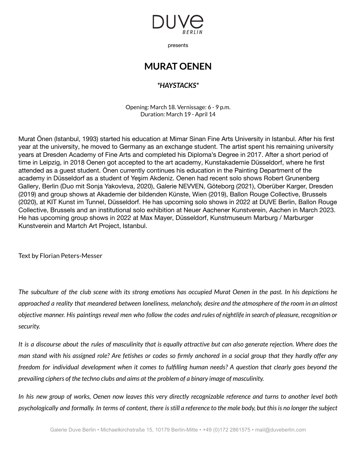

presents

## **MURAT OENEN**

## *\*HAYSTACKS\**

Opening: March 18. Vernissage: 6 - 9 p.m. Duration: March 19 - April 14

Murat Önen (Istanbul, 1993) started his education at Mimar Sinan Fine Arts University in Istanbul. After his first year at the university, he moved to Germany as an exchange student. The artist spent his remaining university years at Dresden Academy of Fine Arts and completed his Diploma's Degree in 2017. After a short period of time in Leipzig, in 2018 Oenen got accepted to the art academy, Kunstakademie Düsseldorf, where he first attended as a guest student. Önen currently continues his education in the Painting Department of the academy in Düsseldorf as a student of Yeşim Akdeniz. Oenen had recent solo shows Robert Grunenberg Gallery, Berlin (Duo mit Sonja Yakovleva, 2020), Galerie NEVVEN, Göteborg (2021), Oberüber Karger, Dresden (2019) and group shows at Akademie der bildenden Künste, Wien (2019), Ballon Rouge Collective, Brussels (2020), at KIT Kunst im Tunnel, Düsseldorf. He has upcoming solo shows in 2022 at DUVE Berlin, Ballon Rouge Collective, Brussels and an institutional solo exhibition at Neuer Aachener Kunstverein, Aachen in March 2023. He has upcoming group shows in 2022 at Max Mayer, Düsseldorf, Kunstmuseum Marburg / Marburger Kunstverein and Martch Art Project, Istanbul.

Text by Florian Peters-Messer

The subculture of the club scene with its strong emotions has occupied Murat Oenen in the past. In his depictions he approached a reality that meandered between loneliness, melancholy, desire and the atmosphere of the room in an almost objective manner. His paintings reveal men who follow the codes and rules of nightlife in search of pleasure, recognition or *security.*

It is a discourse about the rules of masculinity that is equally attractive but can also generate rejection. Where does the man stand with his assigned role? Are fetishes or codes so firmly anchored in a social group that they hardly offer any freedom for individual development when it comes to fulfilling human needs? A question that clearly goes beyond the *prevailing ciphers of the techno clubs and aims at the problem of a binary image of masculinity.*

In his new group of works, Oenen now leaves this very directly recognizable reference and turns to another level both psychologically and formally. In terms of content, there is still a reference to the male body, but this is no longer the subject